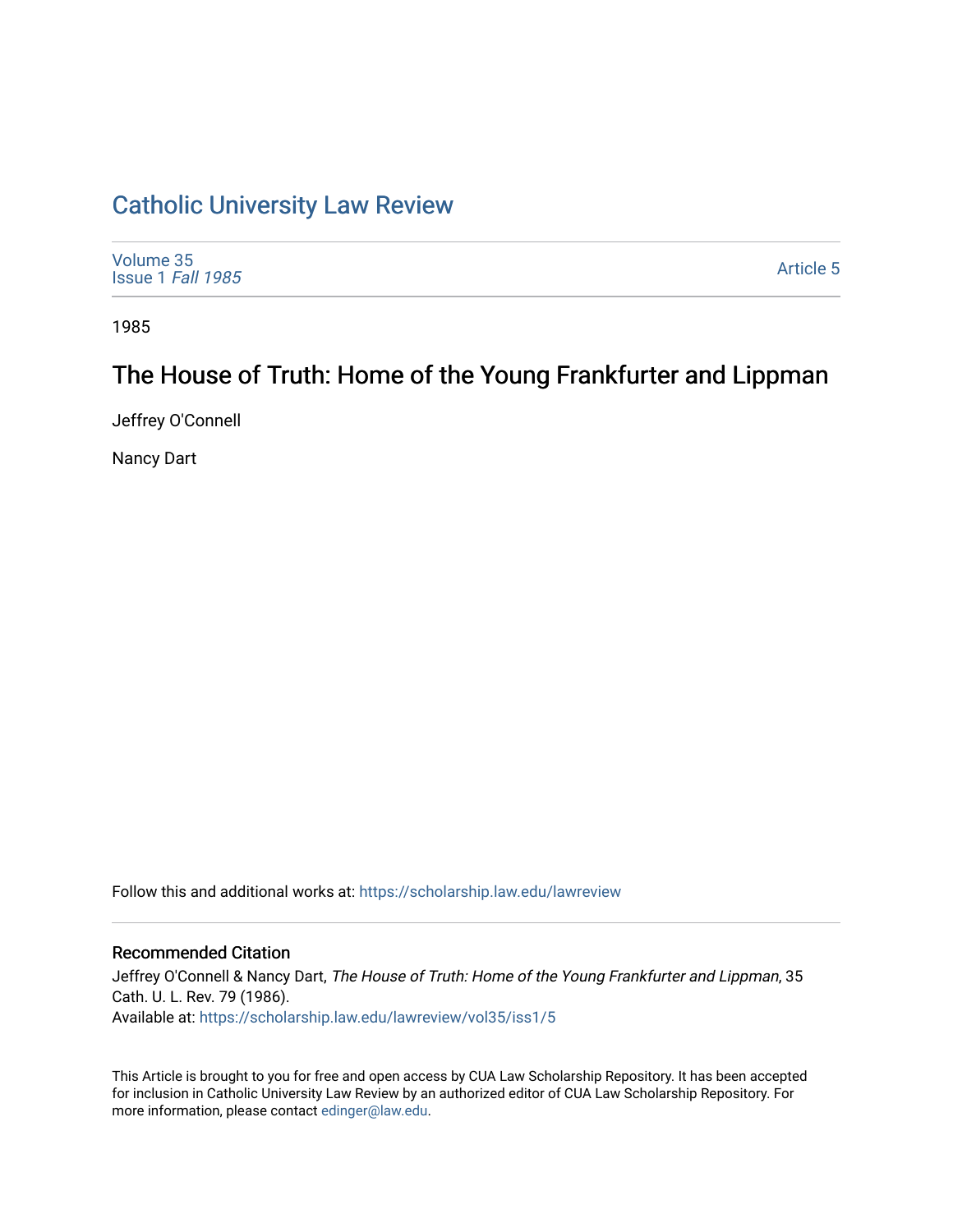# [Catholic University Law Review](https://scholarship.law.edu/lawreview)

| Volume 35<br>Issue 1 Fall 1985 | <b>Article 5</b> |
|--------------------------------|------------------|
|--------------------------------|------------------|

1985

# The House of Truth: Home of the Young Frankfurter and Lippman

Jeffrey O'Connell

Nancy Dart

Follow this and additional works at: [https://scholarship.law.edu/lawreview](https://scholarship.law.edu/lawreview?utm_source=scholarship.law.edu%2Flawreview%2Fvol35%2Fiss1%2F5&utm_medium=PDF&utm_campaign=PDFCoverPages)

## Recommended Citation

Jeffrey O'Connell & Nancy Dart, The House of Truth: Home of the Young Frankfurter and Lippman, 35 Cath. U. L. Rev. 79 (1986). Available at: [https://scholarship.law.edu/lawreview/vol35/iss1/5](https://scholarship.law.edu/lawreview/vol35/iss1/5?utm_source=scholarship.law.edu%2Flawreview%2Fvol35%2Fiss1%2F5&utm_medium=PDF&utm_campaign=PDFCoverPages)

This Article is brought to you for free and open access by CUA Law Scholarship Repository. It has been accepted for inclusion in Catholic University Law Review by an authorized editor of CUA Law Scholarship Repository. For more information, please contact [edinger@law.edu.](mailto:edinger@law.edu)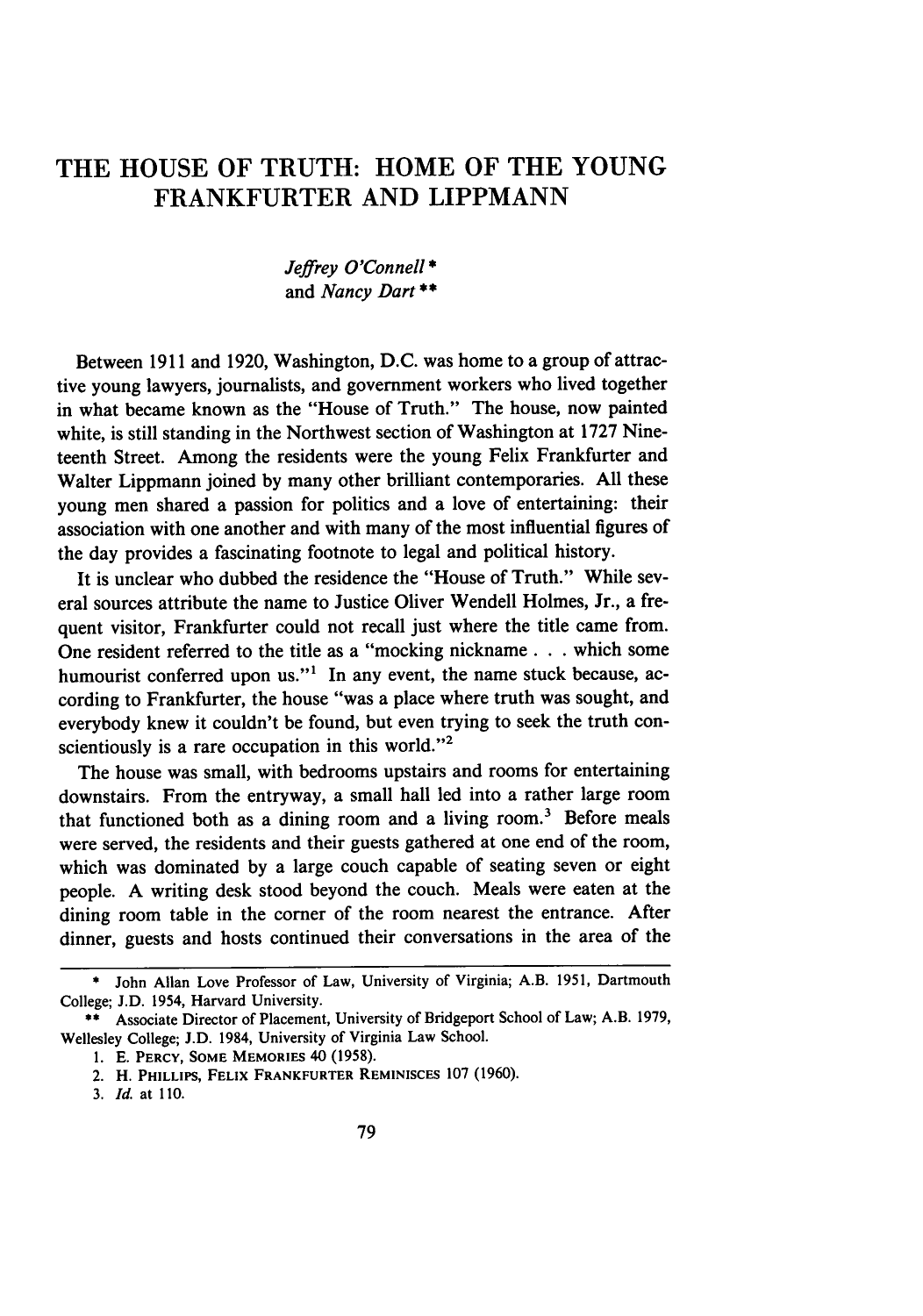## THE **HOUSE** OF TRUTH: HOME OF THE **YOUNG** FRANKFURTER **AND LIPPMANN**

### *Jeffrey O'Connell\** and *Nancy Dart\*\**

Between 1911 and 1920, Washington, D.C. was home to a group of attractive young lawyers, journalists, and government workers who lived together in what became known as the "House of Truth." The house, now painted white, is still standing in the Northwest section of Washington at 1727 Nineteenth Street. Among the residents were the young Felix Frankfurter and Walter Lippmann joined by many other brilliant contemporaries. All these young men shared a passion for politics and a love of entertaining: their association with one another and with many of the most influential figures of the day provides a fascinating footnote to legal and political history.

It is unclear who dubbed the residence the "House of Truth." While several sources attribute the name to Justice Oliver Wendell Holmes, Jr., a frequent visitor. Frankfurter could not recall just where the title came from. One resident referred to the title as a "mocking nickname **. . .** which some humourist conferred upon us."<sup>1</sup> In any event, the name stuck because, according to Frankfurter, the house "was a place where truth was sought, and everybody knew it couldn't be found, but even trying to seek the truth conscientiously is a rare occupation in this world."<sup>2</sup>

The house was small, with bedrooms upstairs and rooms for entertaining downstairs. From the entryway, a small hall led into a rather large room that functioned both as a dining room and a living room.3 Before meals were served, the residents and their guests gathered at one end of the room, which was dominated by a large couch capable of seating seven or eight people. A writing desk stood beyond the couch. Meals were eaten at the dining room table in the corner of the room nearest the entrance. After dinner, guests and hosts continued their conversations in the area of the

**<sup>\*</sup>** John Allan Love Professor of Law, University of Virginia; A.B. 1951, Dartmouth College; J.D. 1954, Harvard University.

**<sup>\*\*</sup>** Associate Director of Placement, University of Bridgeport School of Law; A.B. 1979, Wellesley College; J.D. 1984, University of Virginia Law School.

<sup>1.</sup> E. PERCY, **SOME** MEMORIES 40 (1958).

<sup>2.</sup> H. **PHILLIPS, FELIX FRANKFURTER REMINISCES** 107 (1960).

*<sup>3.</sup> Id.* at 110.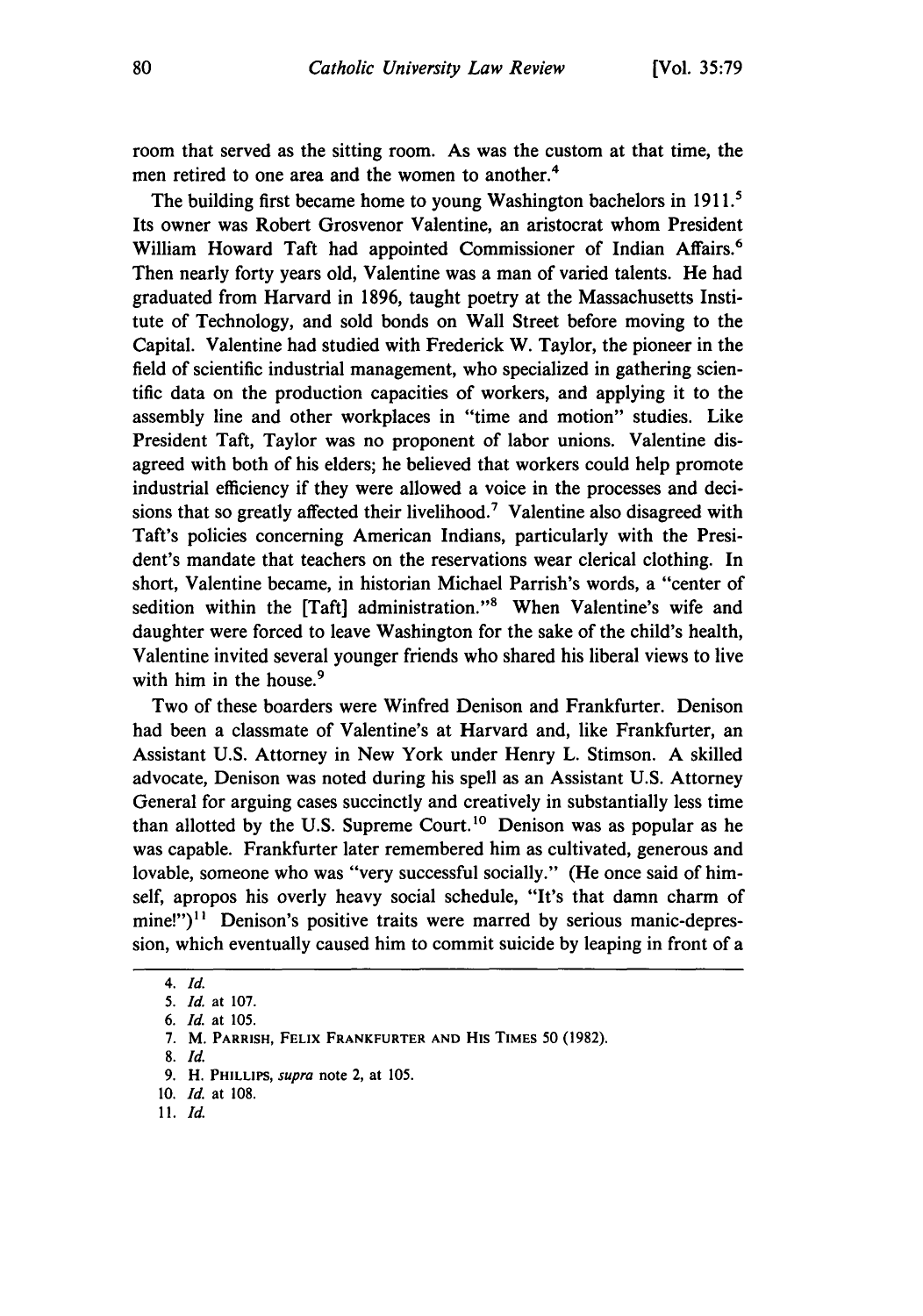room that served as the sitting room. As was the custom at that time, the men retired to one area and the women to another.<sup>4</sup>

The building first became home to young Washington bachelors in **191.'** Its owner was Robert Grosvenor Valentine, an aristocrat whom President William Howard Taft had appointed Commissioner of Indian Affairs.<sup>6</sup> Then nearly forty years old, Valentine was a man of varied talents. He had graduated from Harvard in **1896,** taught poetry at the Massachusetts Institute of Technology, and sold bonds on Wall Street before moving to the Capital. Valentine had studied with Frederick W. Taylor, the pioneer in the field of scientific industrial management, who specialized in gathering scientific data on the production capacities of workers, and applying it to the assembly line and other workplaces in "time and motion" studies. Like President Taft, Taylor was no proponent of labor unions. Valentine disagreed with both of his elders; he believed that workers could help promote industrial efficiency if they were allowed a voice in the processes and decisions that so greatly affected their livelihood.<sup>7</sup> Valentine also disagreed with Taft's policies concerning American Indians, particularly with the President's mandate that teachers on the reservations wear clerical clothing. In short, Valentine became, in historian Michael Parrish's words, a "center of sedition within the [Taft] administration."<sup>8</sup> When Valentine's wife and daughter were forced to leave Washington for the sake of the child's health, Valentine invited several younger friends who shared his liberal views to live with him in the house.<sup>9</sup>

Two of these boarders were Winfred Denison and Frankfurter. Denison had been a classmate of Valentine's at Harvard and, like Frankfurter, an Assistant **U.S.** Attorney in New York under Henry L. Stimson. **A** skilled advocate, Denison was noted during his spell as an Assistant **U.S.** Attorney General for arguing cases succinctly and creatively in substantially less time than allotted by the U.S. Supreme Court.<sup>10</sup> Denison was as popular as he was capable. Frankfurter later remembered him as cultivated, generous and lovable, someone who was "very successful socially." (He once said of himself, apropos his overly heavy social schedule, "It's that damn charm of mine!")<sup>11</sup> Denison's positive traits were marred by serious manic-depression, which eventually caused him to commit suicide **by** leaping in front of a

**8.** Id.

**10.** *Id.* **at 108.**

*<sup>4.</sup> Id.*

**<sup>5.</sup> Id. at 107.**

*<sup>6.</sup> Id.* **at 105.**

**<sup>7.</sup>** M. PARRISH, FELIX FRANKFURTER **AND His TIMES 50 (1982).**

**<sup>9.</sup>** H. **PHILLIPS,** *supra* **note** 2, **at 105.**

**<sup>11.</sup>** *Id.*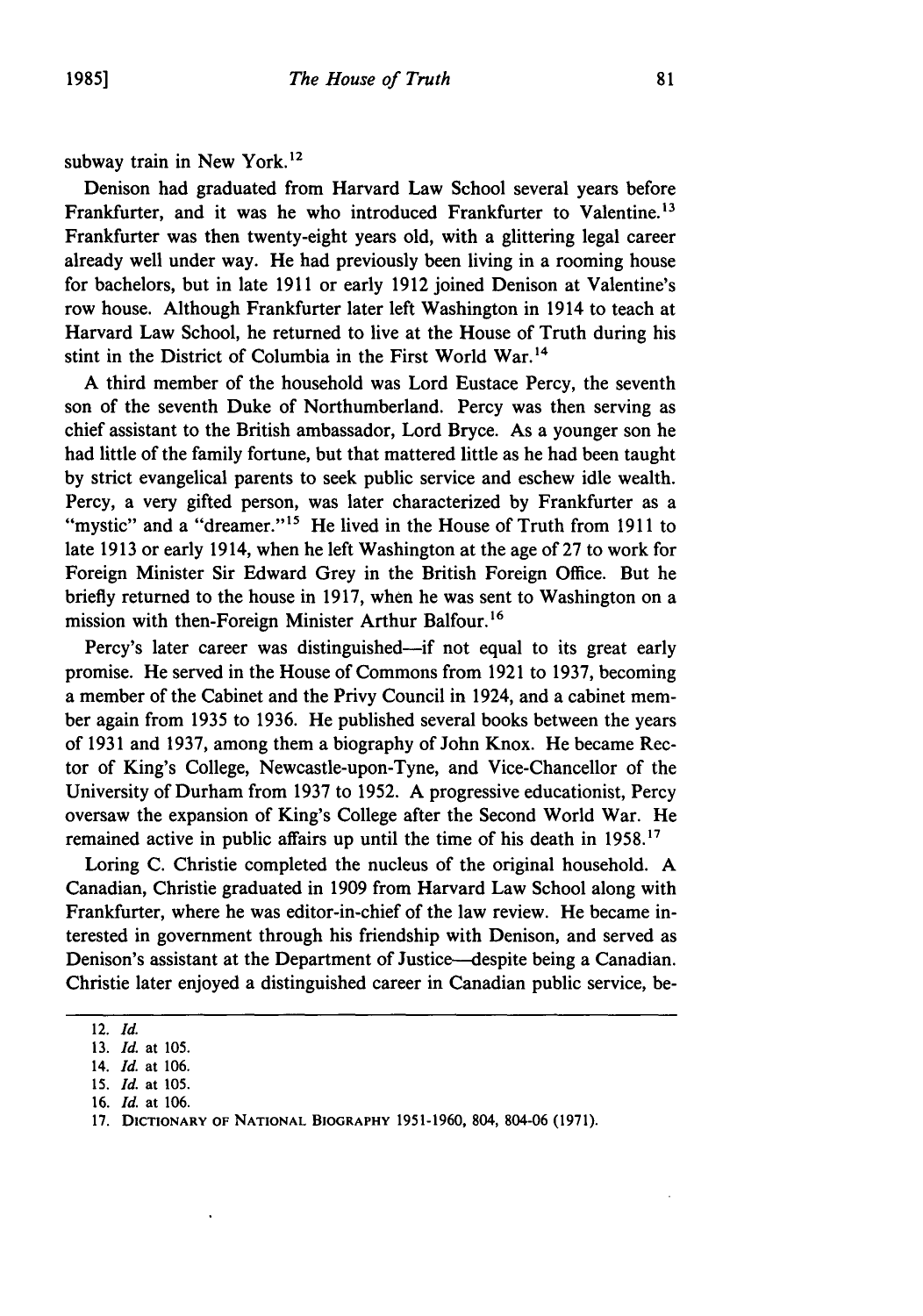subway train in New York.<sup>12</sup>

Denison had graduated from Harvard Law School several years before Frankfurter, and it was he who introduced Frankfurter to Valentine.<sup>13</sup> Frankfurter was then twenty-eight years old, with a glittering legal career already well under way. He had previously been living in a rooming house for bachelors, but in late 1911 or early 1912 joined Denison at Valentine's row house. Although Frankfurter later left Washington in 1914 to teach at Harvard Law School, he returned to live at the House of Truth during his stint in the District of Columbia in the First World War. <sup>14</sup>

A third member of the household was Lord Eustace Percy, the seventh son of the seventh Duke of Northumberland. Percy was then serving as chief assistant to the British ambassador, Lord Bryce. As a younger son he had little of the family fortune, but that mattered little as he had been taught by strict evangelical parents to seek public service and eschew idle wealth. Percy, a very gifted person, was later characterized by Frankfurter as a "mystic" and a "dreamer."<sup>15</sup> He lived in the House of Truth from 1911 to late 1913 or early 1914, when he left Washington at the age of 27 to work for Foreign Minister Sir Edward Grey in the British Foreign Office. But he briefly returned to the house in 1917, when he was sent to Washington on a mission with then-Foreign Minister Arthur Balfour. <sup>16</sup>

Percy's later career was distinguished—if not equal to its great early promise. He served in the House of Commons from 1921 to 1937, becoming a member of the Cabinet and the Privy Council in 1924, and a cabinet member again from 1935 to 1936. He published several books between the years of 1931 and 1937, among them a biography of John Knox. He became Rector of King's College, Newcastle-upon-Tyne, and Vice-Chancellor of the University of Durham from 1937 to 1952. A progressive educationist, Percy oversaw the expansion of King's College after the Second World War. He remained active in public affairs up until the time of his death in **1958.17**

Loring C. Christie completed the nucleus of the original household. A Canadian, Christie graduated in 1909 from Harvard Law School along with Frankfurter, where he was editor-in-chief of the law review. He became interested in government through his friendship with Denison, and served as Denison's assistant at the Department of Justice-despite being a Canadian. Christie later enjoyed a distinguished career in Canadian public service, be-

<sup>12.</sup> *Id.*

<sup>13.</sup> *Id.* at 105.

<sup>14.</sup> *Id.* at 106.

<sup>15.</sup> *Id.* at 105.

<sup>16.</sup> *Id.* at 106.

<sup>17.</sup> **DICTIONARY** OF **NATIONAL BIOGRAPHY** 1951-1960, 804, 804-06 (1971).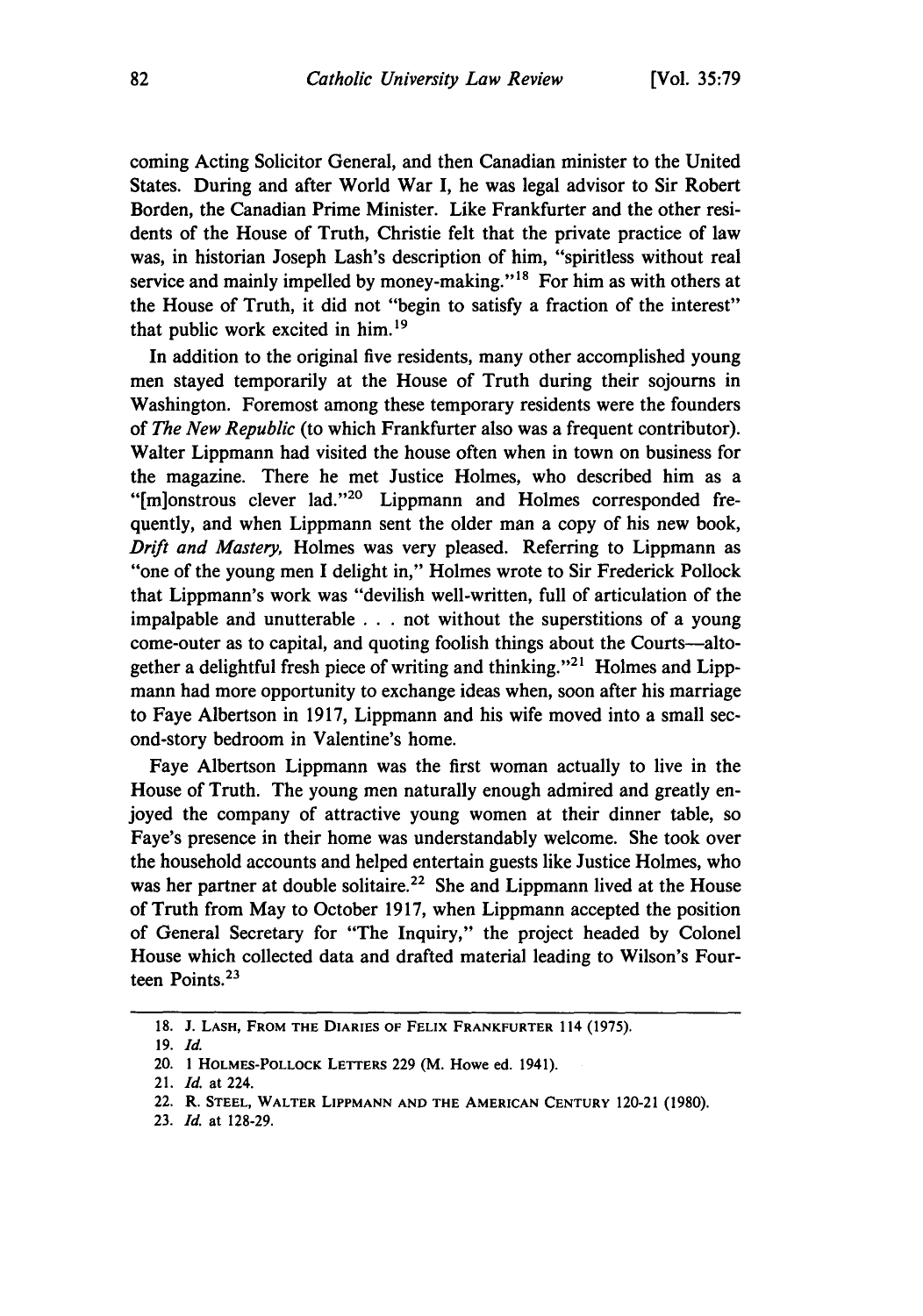coming Acting Solicitor General, and then Canadian minister to the United States. During and after World War I, he was legal advisor to Sir Robert Borden, the Canadian Prime Minister. Like Frankfurter and the other residents of the House of Truth, Christie felt that the private practice of law was, in historian Joseph Lash's description of him, "spiritless without real service and mainly impelled by money-making."<sup>18</sup> For him as with others at the House of Truth, it did not "begin to satisfy a fraction of the interest" that public work excited in him. <sup>19</sup>

In addition to the original five residents, many other accomplished young men stayed temporarily at the House of Truth during their sojourns in Washington. Foremost among these temporary residents were the founders of *The New Republic* (to which Frankfurter also was a frequent contributor). Walter Lippmann had visited the house often when in town on business for the magazine. There he met Justice Holmes, who described him as a "[m]onstrous clever lad."2° Lippmann and Holmes corresponded frequently, and when Lippmann sent the older man a copy of his new book, *Drift and Mastery,* Holmes was very pleased. Referring to Lippmann as "one of the young men **I** delight in," Holmes wrote to Sir Frederick Pollock that Lippmann's work was "devilish well-written, full of articulation of the impalpable and unutterable **. . .** not without the superstitions of a young come-outer as to capital, and quoting foolish things about the Courts-altogether a delightful fresh piece of writing and thinking."21 Holmes and Lippmann had more opportunity to exchange ideas when, soon after his marriage to Faye Albertson in **1917,** Lippmann and his wife moved into a small second-story bedroom in Valentine's home.

Faye Albertson Lippmann was the first woman actually to live in the House of Truth. The young men naturally enough admired and greatly enjoyed the company of attractive young women at their dinner table, so Faye's presence in their home was understandably welcome. She took over the household accounts and helped entertain guests like Justice Holmes, who was her partner at double solitaire.<sup>22</sup> She and Lippmann lived at the House of Truth from May to October **1917,** when Lippmann accepted the position of General Secretary for "The Inquiry," the project headed **by** Colonel House which collected data and drafted material leading to Wilson's Fourteen Points.23

**<sup>18.</sup>** J. **LASH, FROM THE DIARIES** OF **FELIX FRANKFURTER** 114 (1975).

**<sup>19.</sup> Id.**

<sup>20. 1</sup> **HOLMES-POLLOCK LETTERS** 229 (M. Howe ed. 1941).

<sup>21.</sup> *Id.* at 224.

<sup>22.</sup> R. **STEEL, WALTER LIPPMANN AND THE AMERICAN CENTURY** 120-21 (1980).

**<sup>23.</sup>** *Id.* at 128-29.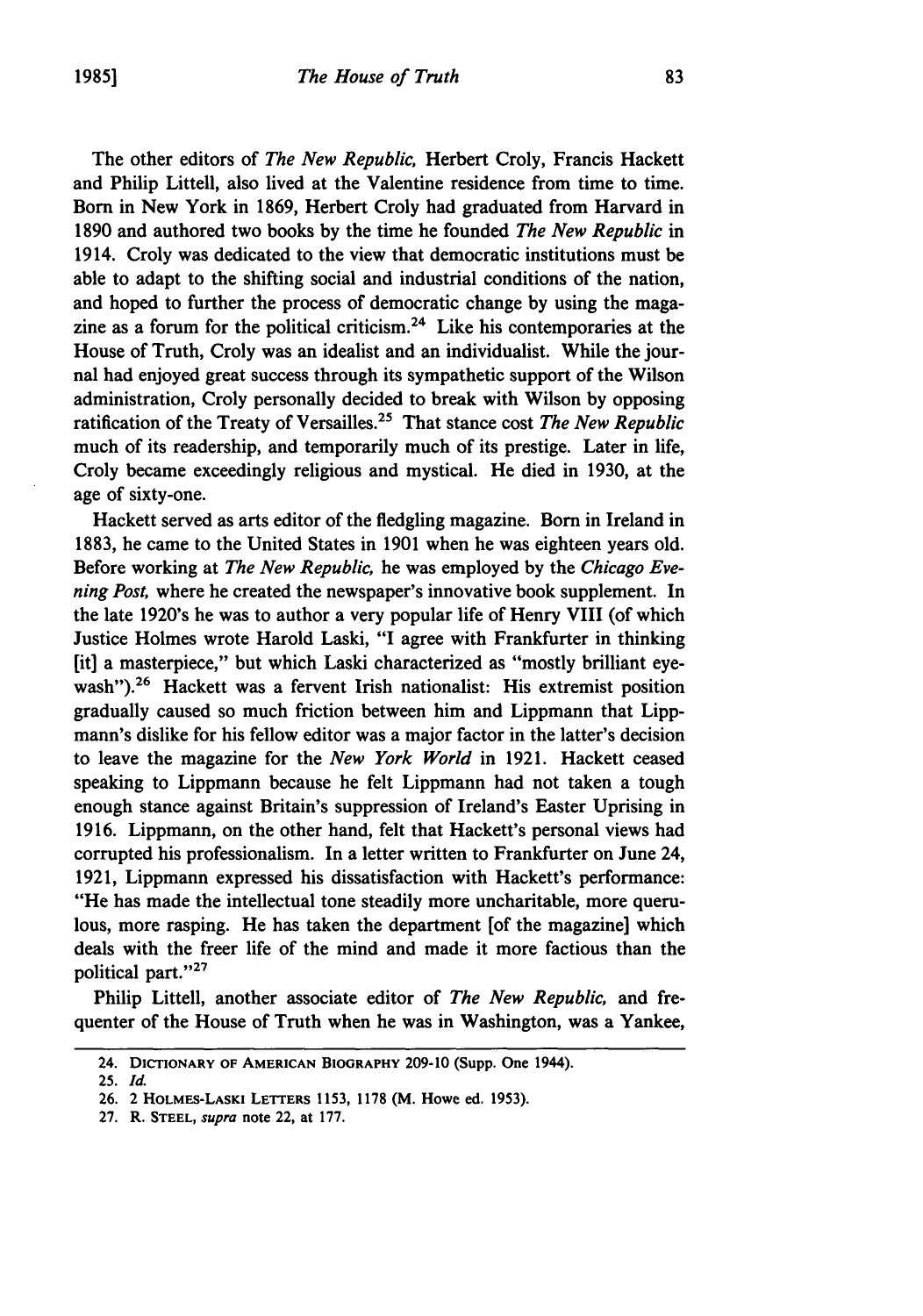The other editors of *The New Republic,* Herbert Croly, Francis Hackett and Philip Littell, also lived at the Valentine residence from time to time. Born in New York in **1869,** Herbert Croly had graduated from Harvard in **1890** and authored two books **by** the time he founded *The New Republic* in 1914. Croly was dedicated to the view that democratic institutions must be able to adapt to the shifting social and industrial conditions of the nation, and hoped to further the process of democratic change **by** using the magazine as a forum for the political criticism.<sup>24</sup> Like his contemporaries at the House of Truth, Croly was an idealist and an individualist. While the journal had enjoyed great success through its sympathetic support of the Wilson administration, Croly personally decided to break with Wilson **by** opposing ratification of the Treaty of Versailles.25 That stance cost *The New Republic* much of its readership, and temporarily much of its prestige. Later in life, Croly became exceedingly religious and mystical. He died in **1930,** at the age of sixty-one.

Hackett served as arts editor of the fledgling magazine. Born in Ireland in **1883,** he came to the United States in **1901** when he was eighteen years old. Before working at *The New Republic,* he was employed **by** the *Chicago Evening Post,* where he created the newspaper's innovative book supplement. In the late 1920's he was to author a very popular life of Henry VIII (of which Justice Holmes wrote Harold Laski, "I agree with Frankfurter in thinking [it] a masterpiece," but which Laski characterized as "mostly brilliant eyewash").<sup>26</sup> Hackett was a fervent Irish nationalist: His extremist position gradually caused so much friction between him and Lippmann that Lippmann's dislike for his fellow editor was a major factor in the latter's decision to leave the magazine for the *New York World* in **1921.** Hackett ceased speaking to Lippmann because he felt Lippmann had not taken a tough enough stance against Britain's suppression of Ireland's Easter Uprising in **1916.** Lippmann, on the other hand, felt that Hackett's personal views had corrupted his professionalism. In a letter written to Frankfurter on June 24, **1921,** Lippmann expressed his dissatisfaction with Hackett's performance: "He has made the intellectual tone steadily more uncharitable, more querulous, more rasping. He has taken the department [of the magazine] which deals with the freer life of the mind and made it more factious than the political part."<sup>27</sup>

Philip Littell, another associate editor of *The New Republic,* and frequenter of the House of Truth when he was in Washington, was a Yankee,

<sup>24.</sup> **DICTIONARY OF AMERICAN BIOGRAPHY 209-10 (Supp. One** 1944).

**<sup>25.</sup>** *Id.*

**<sup>26.</sup>** 2 **HOLMES-LASKI LETTERS 1153, 1178** (M. **Howe ed. 1953).**

**<sup>27.</sup>** R. **STEEL,** *supra* **note** 22, **at 177.**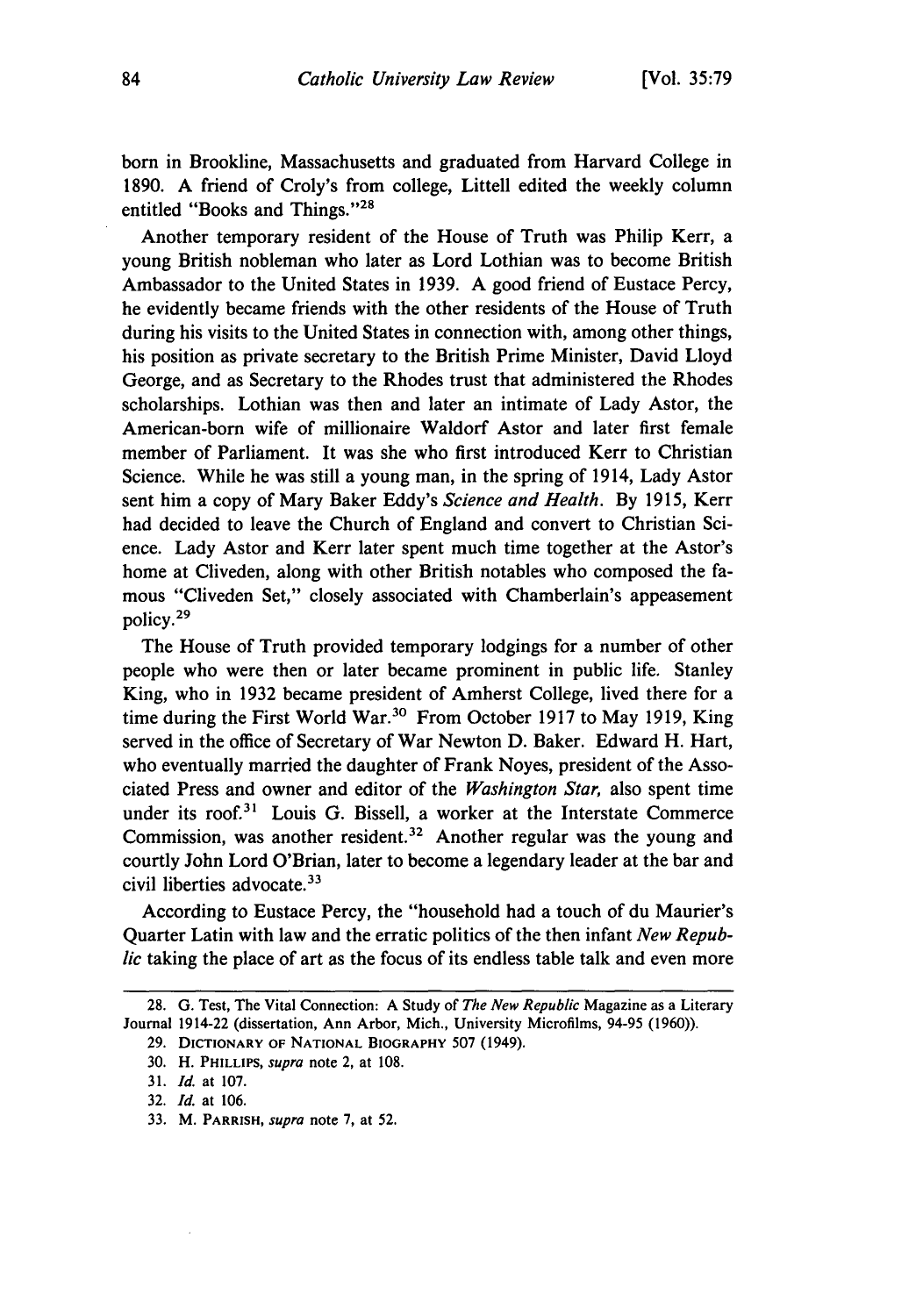**born** in Brookline, Massachusetts and graduated from Harvard College in **1890. A** friend of Croly's from college, Littell edited the weekly column entitled "Books and Things."<sup>28</sup>

Another temporary resident of the House of Truth was Philip Kerr, a young British nobleman who later as Lord Lothian was to become British Ambassador to the United States in **1939. A** good friend of Eustace Percy, he evidently became friends with the other residents of the House of Truth during his visits to the United States in connection with, among other things, his position as private secretary to the British Prime Minister, David Lloyd George, and as Secretary to the Rhodes trust that administered the Rhodes scholarships. Lothian was then and later an intimate of Lady Astor, the American-born wife of millionaire Waldorf Astor and later first female member of Parliament. It was she who first introduced Kerr to Christian Science. While he was still a young man, in the spring of 1914, Lady Astor sent him a copy of Mary Baker Eddy's *Science and Health.* **By 1915,** Kerr had decided to leave the Church of England and convert to Christian Science. Lady Astor and Kerr later spent much time together at the Astor's home at Cliveden, along with other British notables who composed the famous "Cliveden Set," closely associated with Chamberlain's appeasement **policy. <sup>29</sup>**

The House of Truth provided temporary lodgings for a number of other people who were then or later became prominent in public life. Stanley King, who in **1932** became president of Amherst College, lived there for a time during the First World War. 3° From October **1917** to May **1919,** King served in the office of Secretary of War Newton **D.** Baker. Edward H. Hart, who eventually married the daughter of Frank Noyes, president of the Associated Press and owner and editor of the *Washington Star,* also spent time under its roof.3' Louis **G.** Bissell, a worker at the Interstate Commerce Commission, was another resident.<sup>32</sup> Another regular was the young and courtly John Lord O'Brian, later to become a legendary leader at the bar and civil liberties advocate.<sup>33</sup>

According to Eustace Percy, the "household had a touch of du Maurier's Quarter Latin with law and the erratic politics of the then infant *New Republic* taking the place of art as the focus of its endless table talk and even more

33. M. PARRISH, *supra* note 7, at **52.**

<sup>28.</sup> G. Test, The Vital Connection: A Study of *The New Republic* Magazine as a Literary Journal 1914-22 (dissertation, Ann Arbor, Mich., University Microfilms, 94-95 (1960)).

<sup>29.</sup> DICTIONARY OF **NATIONAL** BIOGRAPHY 507 (1949).

**<sup>30.</sup>** H. PHILLIPS, supra note 2, at 108.

<sup>31.</sup> *Id.* at 107.

<sup>32.</sup> *Id.* at 106.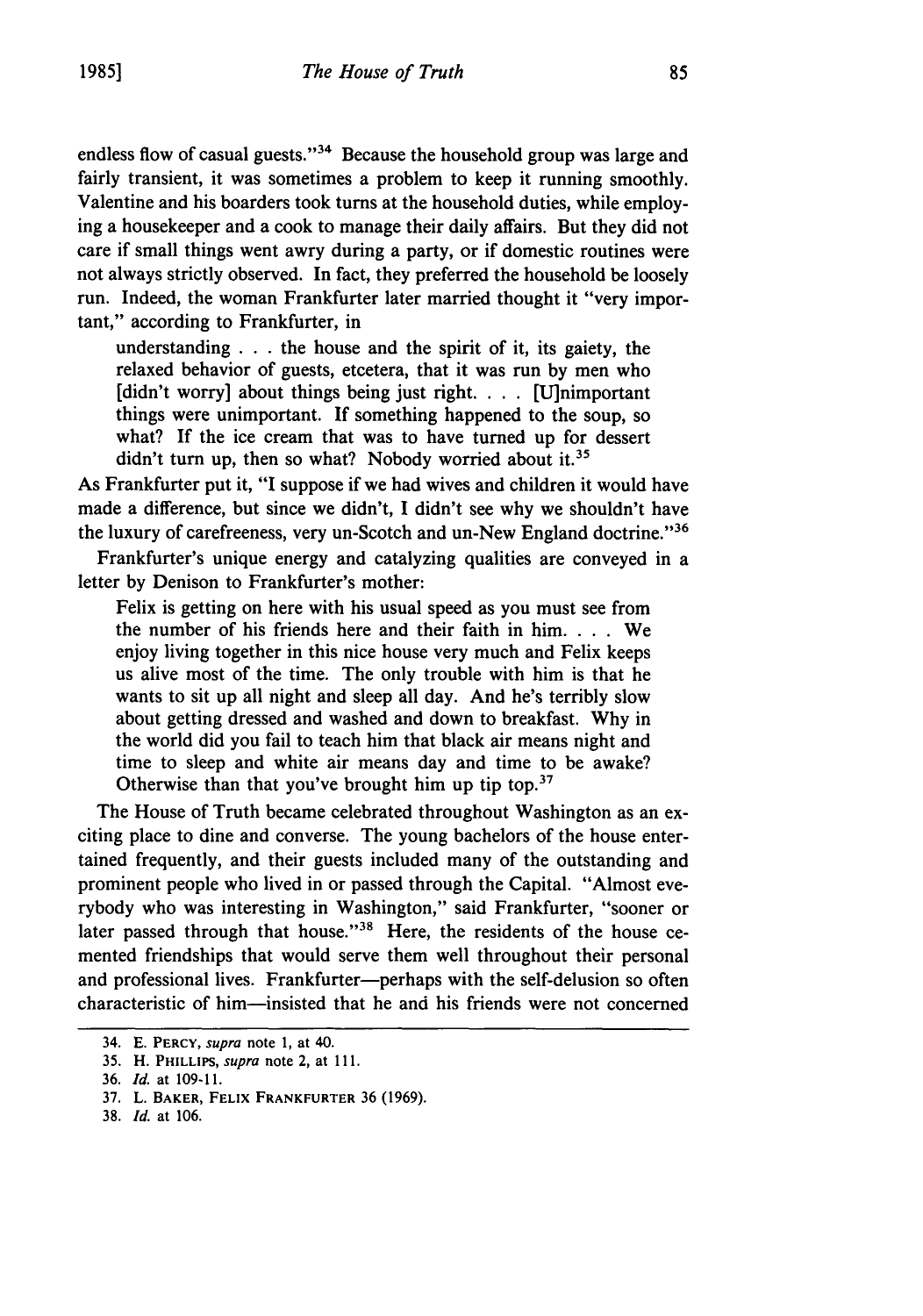endless flow of casual guests."<sup>34</sup> Because the household group was large and fairly transient, it was sometimes a problem to keep it running smoothly. Valentine and his boarders took turns at the household duties, while employing a housekeeper and a cook to manage their daily affairs. But they did not care if small things went awry during a party, or if domestic routines were not always strictly observed. In fact, they preferred the household be loosely run. Indeed, the woman Frankfurter later married thought it "very important," according to Frankfurter, in

understanding  $\ldots$  the house and the spirit of it, its gaiety, the relaxed behavior of guests, etcetera, that it was run **by** men who [didn't worry] about things being just right. . **.** . [U]nimportant things were unimportant. **If** something happened to the soup, so what? **If** the ice cream that was to have turned up for dessert didn't turn up, then so what? Nobody worried about it.<sup>35</sup>

As Frankfurter put it, "I suppose if we had wives and children it would have made a difference, but since we didn't, **I** didn't see why we shouldn't have the luxury of carefreeness, very un-Scotch and un-New England doctrine."36

Frankfurter's unique energy and catalyzing qualities are conveyed in a letter **by** Denison to Frankfurter's mother:

Felix is getting on here with his usual speed as you must see from the number of his friends here and their faith in him. . **.** . We enjoy living together in this nice house very much and Felix keeps us alive most of the time. The only trouble with him is that he wants to sit up all night and sleep all day. And he's terribly slow about getting dressed and washed and down to breakfast. **Why** in the world did you fail to teach him that black air means night and time to sleep and white air means day and time to be awake? Otherwise than that you've brought him up tip top.<sup>37</sup>

The House of Truth became celebrated throughout Washington as an exciting place to dine and converse. The young bachelors of the house entertained frequently, and their guests included many of the outstanding and prominent people who lived in or passed through the Capital. "Almost everybody who was interesting in Washington," said Frankfurter, "sooner or later passed through that house."<sup>38</sup> Here, the residents of the house cemented friendships that would serve them well throughout their personal and professional lives. Frankfurter-perhaps with the self-delusion so often characteristic of him-insisted that he and his friends were not concerned

**38.** *Id.* at 106.

<sup>34.</sup> E. **PERCY,** *supra* note **1,** at 40.

**<sup>35.</sup>** H. PHILLIPS, *supra* note 2, at **111.**

**<sup>36.</sup>** *Id.* at **109-11.**

**<sup>37.</sup>** L. BAKER, **FELIX** FRANKFURTER **36** (1969).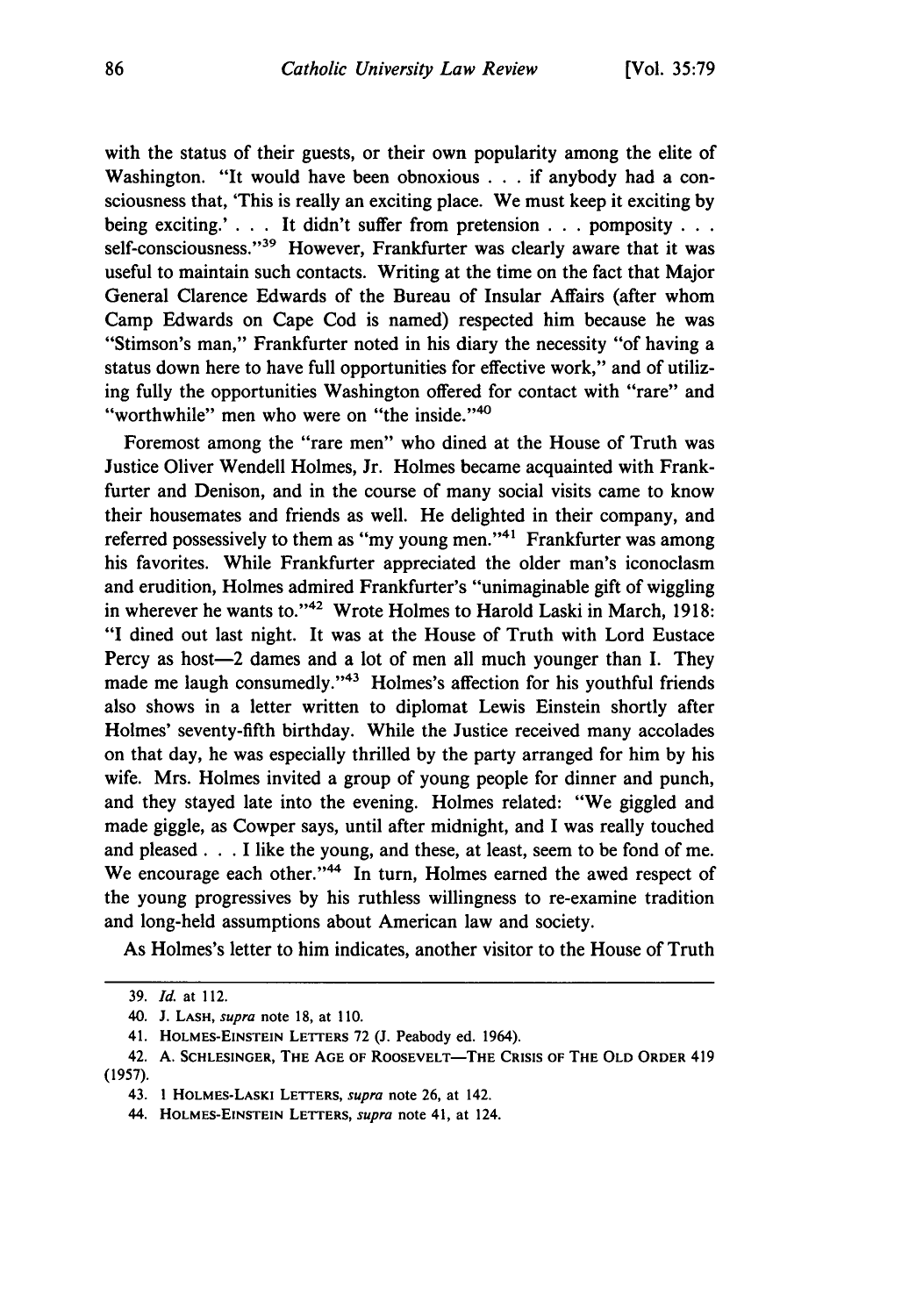with the status of their guests, or their own popularity among the elite of Washington. "It would have been obnoxious **. . .**if anybody had a consciousness that, 'This is really an exciting place. We must keep it exciting **by** being exciting.' **. . .** It didn't suffer from pretension **. .** pomposity... self-consciousness."<sup>39</sup> However, Frankfurter was clearly aware that it was useful to maintain such contacts. Writing at the time on the fact that Major General Clarence Edwards of the Bureau of Insular Affairs (after whom Camp Edwards on Cape Cod is named) respected him because he was "Stimson's man," Frankfurter noted in his diary the necessity "of having a status down here to have full opportunities for effective work," and of utilizing fully the opportunities Washington offered for contact with "rare" and "worthwhile" men who were on "the inside."<sup>40</sup>

Foremost among the "rare men" who dined at the House of Truth was Justice Oliver Wendell Holmes, Jr. Holmes became acquainted with Frankfurter and Denison, and in the course of many social visits came to know their housemates and friends as well. He delighted in their company, and referred possessively to them as "my young men."<sup>41</sup> Frankfurter was among his favorites. While Frankfurter appreciated the older man's iconoclasm and erudition, Holmes admired Frankfurter's "unimaginable gift of wiggling in wherever he wants to."<sup>42</sup> Wrote Holmes to Harold Laski in March, 1918: **"I** dined out last night. It was at the House of Truth with Lord Eustace Percy as host-2 dames and a lot of men all much younger than I. They made me laugh consumedly."<sup>43</sup> Holmes's affection for his youthful friends also shows in a letter written to diplomat Lewis Einstein shortly after Holmes' seventy-fifth birthday. While the Justice received many accolades on that day, he was especially thrilled **by** the party arranged for him **by** his wife. Mrs. Holmes invited a group of young people for dinner and punch, and they stayed late into the evening. Holmes related: "We giggled and made giggle, as Cowper says, until after midnight, and I was really touched and pleased. **. .**I like the young, and these, at least, seem to be fond of me. We encourage each other."<sup>44</sup> In turn, Holmes earned the awed respect of the young progressives **by** his ruthless willingness to re-examine tradition and long-held assumptions about American law and society.

As Holmes's letter to him indicates, another visitor to the House of Truth

**<sup>39.</sup>** *Id.* at 112.

<sup>40.</sup> **J. LASH,** *supra* note **18,** at **110.**

<sup>41.</sup> **HOLMES-EINSTEIN LETTERS 72 (J.** Peabody ed. 1964).

<sup>42.</sup> **A. SCHLESINGER, THE AGE OF ROOSEVELT-THE CRISIS OF THE OLD ORDER** 419 **(1957).**

<sup>43.</sup> **1 HOLMES-LASKI LETTERS,** *supra* **note 26,** at 142.

**<sup>44.</sup> HOLMES-EINSTEIN LETTERS,** *supra* note 41, at 124.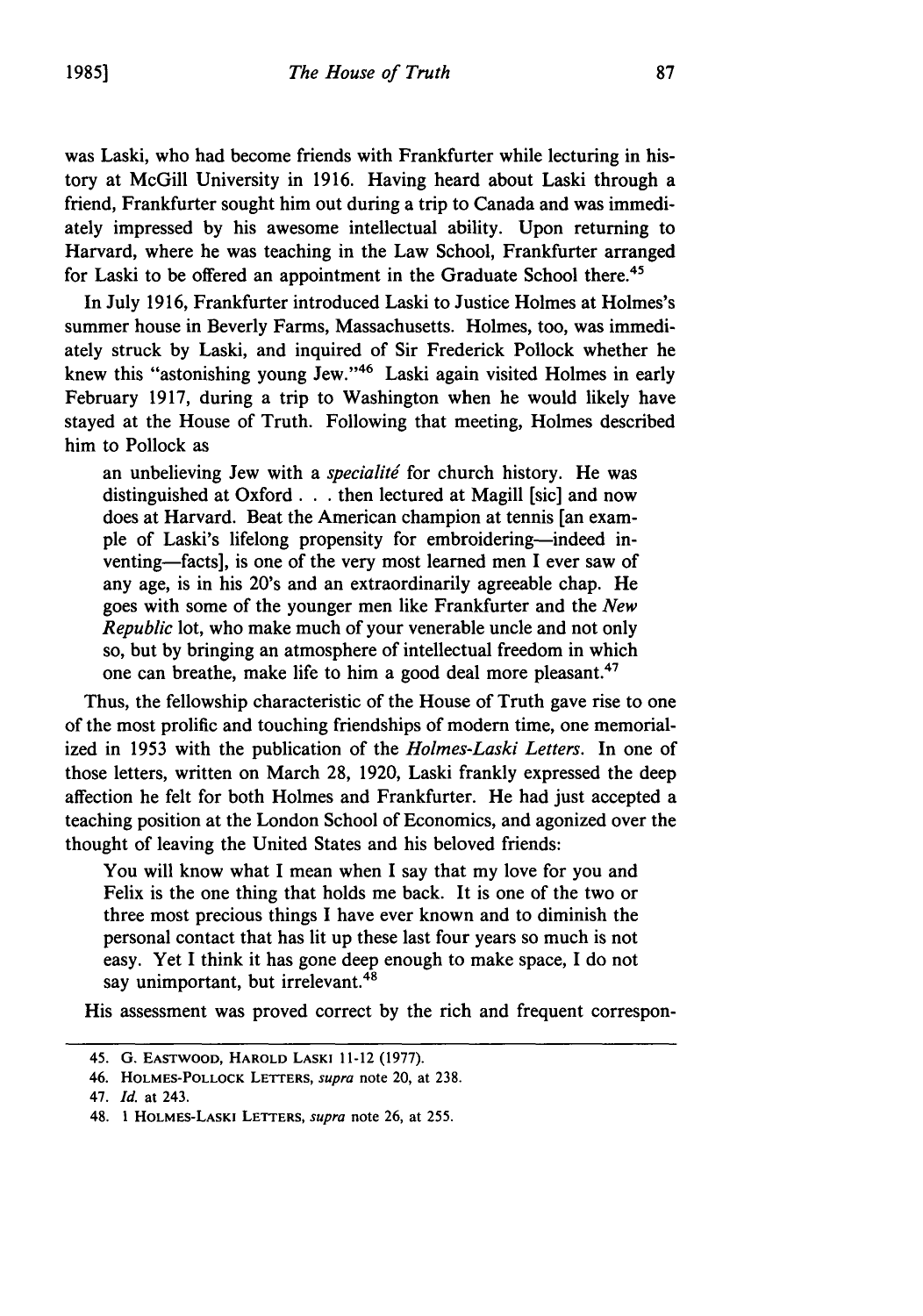was Laski, who had become friends with Frankfurter while lecturing in history at McGill University in 1916. Having heard about Laski through a friend, Frankfurter sought him out during a trip to Canada and was immediately impressed by his awesome intellectual ability. Upon returning to Harvard, where he was teaching in the Law School, Frankfurter arranged for Laski to be offered an appointment in the Graduate School there.<sup>45</sup>

In July 1916, Frankfurter introduced Laski to Justice Holmes at Holmes's summer house in Beverly Farms, Massachusetts. Holmes, too, was immediately struck by Laski, and inquired of Sir Frederick Pollock whether he knew this "astonishing young Jew."<sup>46</sup> Laski again visited Holmes in early February 1917, during a trip to Washington when he would likely have stayed at the House of Truth. Following that meeting, Holmes described him to Pollock as

an unbelieving Jew with a *specialité* for church history. He was distinguished at Oxford **. .** .then lectured at Magill [sic] and now does at Harvard. Beat the American champion at tennis [an example of Laski's lifelong propensity for embroidering-indeed inventing-facts], is one of the very most learned men I ever saw of any age, is in his 20's and an extraordinarily agreeable chap. He goes with some of the younger men like Frankfurter and the *New Republic* lot, who make much of your venerable uncle and not only so, but by bringing an atmosphere of intellectual freedom in which one can breathe, make life to him a good deal more pleasant.47

Thus, the fellowship characteristic of the House of Truth gave rise to one of the most prolific and touching friendships of modern time, one memorialized in 1953 with the publication of the *Holmes-Laski Letters.* In one of those letters, written on March 28, 1920, Laski frankly expressed the deep affection he felt for both Holmes and Frankfurter. He had just accepted a teaching position at the London School of Economics, and agonized over the thought of leaving the United States and his beloved friends:

You will know what I mean when I say that my love for you and Felix is the one thing that holds me back. It is one of the two or three most precious things I have ever known and to diminish the personal contact that has lit up these last four years so much is not easy. Yet I think it has gone deep enough to make space, I do not say unimportant, but irrelevant.<sup>48</sup>

His assessment was proved correct by the rich and frequent correspon-

<sup>45.</sup> G. **EASTWOOD,** HAROLD LASKI 11-12 (1977).

<sup>46.</sup> HOLMES-POLLOCK LETTERS, supra note 20, at 238.

<sup>47.</sup> *Id.* at 243.

<sup>48. 1</sup> HOLMES-LASKI **LETTERS,** supra note 26, at 255.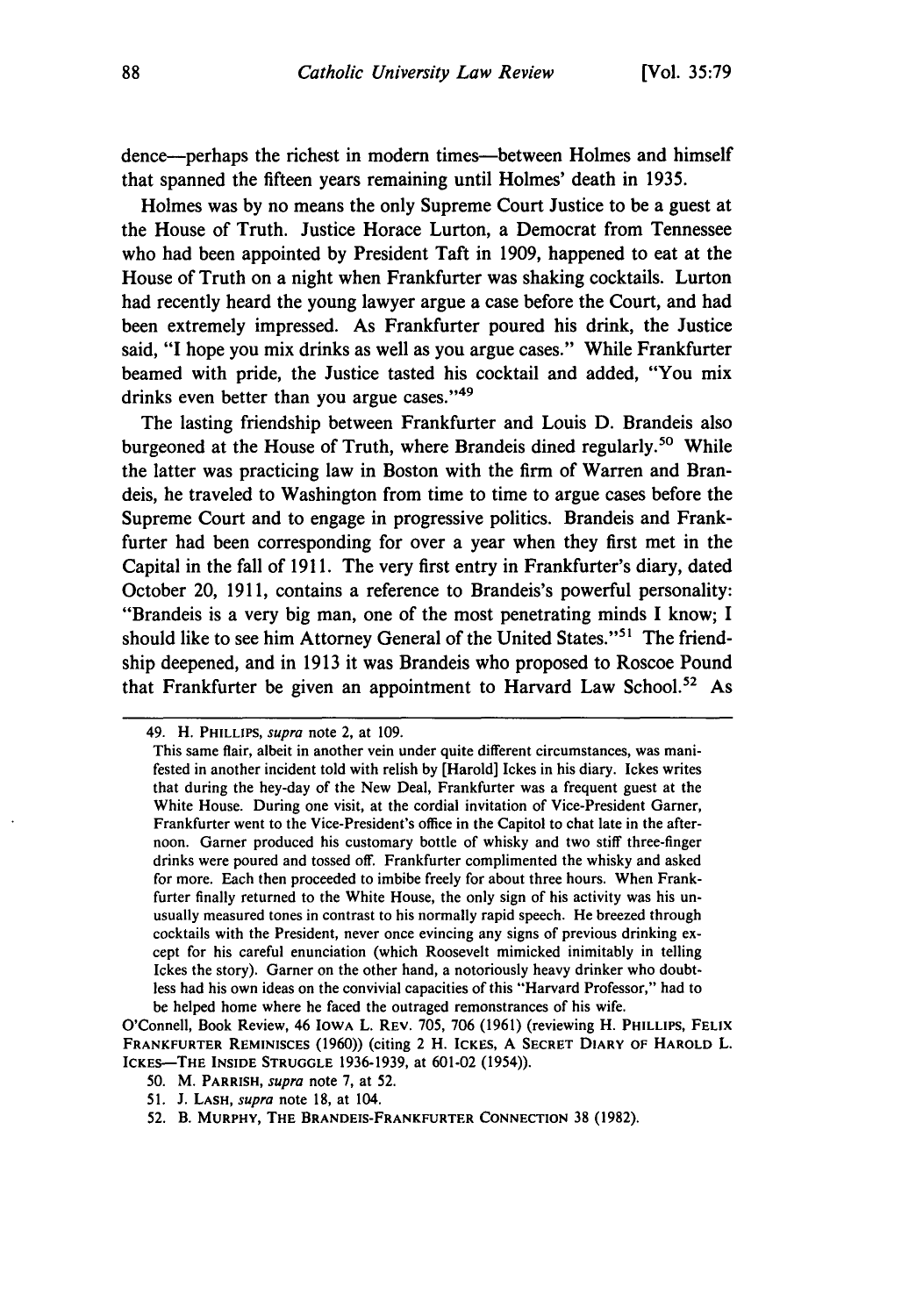dence-perhaps the richest in modem times-between Holmes and himself that spanned the fifteen years remaining until Holmes' death in 1935.

Holmes was by no means the only Supreme Court Justice to be a guest at the House of Truth. Justice Horace Lurton, a Democrat from Tennessee who had been appointed by President Taft in 1909, happened to eat at the House of Truth on a night when Frankfurter was shaking cocktails. Lurton had recently heard the young lawyer argue a case before the Court, and had been extremely impressed. As Frankfurter poured his drink, the Justice said, "I hope you mix drinks as well as you argue cases." While Frankfurter beamed with pride, the Justice tasted his cocktail and added, "You mix drinks even better than you argue cases."<sup>49</sup>

The lasting friendship between Frankfurter and Louis D. Brandeis also burgeoned at the House of Truth, where Brandeis dined regularly.<sup>50</sup> While the latter was practicing law in Boston with the firm of Warren and Brandeis, he traveled to Washington from time to time to argue cases before the Supreme Court and to engage in progressive politics. Brandeis and Frankfurter had been corresponding for over a year when they first met in the Capital in the fall of 1911. The very first entry in Frankfurter's diary, dated October 20, 1911, contains a reference to Brandeis's powerful personality: "Brandeis is a very big man, one of the most penetrating minds I know; I should like to see him Attorney General of the United States."<sup>51</sup> The friendship deepened, and in 1913 it was Brandeis who proposed to Roscoe Pound that Frankfurter be given an appointment to Harvard Law School.<sup>52</sup> As

<sup>49.</sup> H. PHILLIPS, *supra* note 2, at 109.

This same flair, albeit in another vein under quite different circumstances, was manifested in another incident told with relish by [Harold] Ickes in his diary. Ickes writes that during the hey-day of the New Deal, Frankfurter was a frequent guest at the White House. During one visit, at the cordial invitation of Vice-President Garner, Frankfurter went to the Vice-President's office in the Capitol to chat late in the afternoon. Garner produced his customary bottle of whisky and two stiff three-finger drinks were poured and tossed off. Frankfurter complimented the whisky and asked for more. Each then proceeded to imbibe freely for about three hours. When Frankfurter finally returned to the White House, the only sign of his activity was his unusually measured tones in contrast to his normally rapid speech. He breezed through cocktails with the President, never once evincing any signs of previous drinking except for his careful enunciation (which Roosevelt mimicked inimitably in telling Ickes the story). Garner on the other hand, a notoriously heavy drinker who doubtless had his own ideas on the convivial capacities of this "Harvard Professor," had to be helped home where he faced the outraged remonstrances of his wife.

O'Connell, Book Review, 46 IOWA L. REV. 705, 706 (1961) (reviewing H. PHILLIPS, FELIX **FRANKFURTER REMINISCES** (1960)) (citing 2 H. ICKES, A **SECRET DIARY** OF HAROLD L. ICKES-THE **INSIDE STRUGGLE** 1936-1939, at 601-02 (1954)).

**<sup>50.</sup>** M. **PARRISH,** *supra* note 7, at 52.

<sup>51.</sup> **J. LASH,** *supra* note 18, at 104.

**<sup>52.</sup>** B. **MURPHY, THE BRANDEIS-FRANKFURTER CONNECTION** 38 (1982).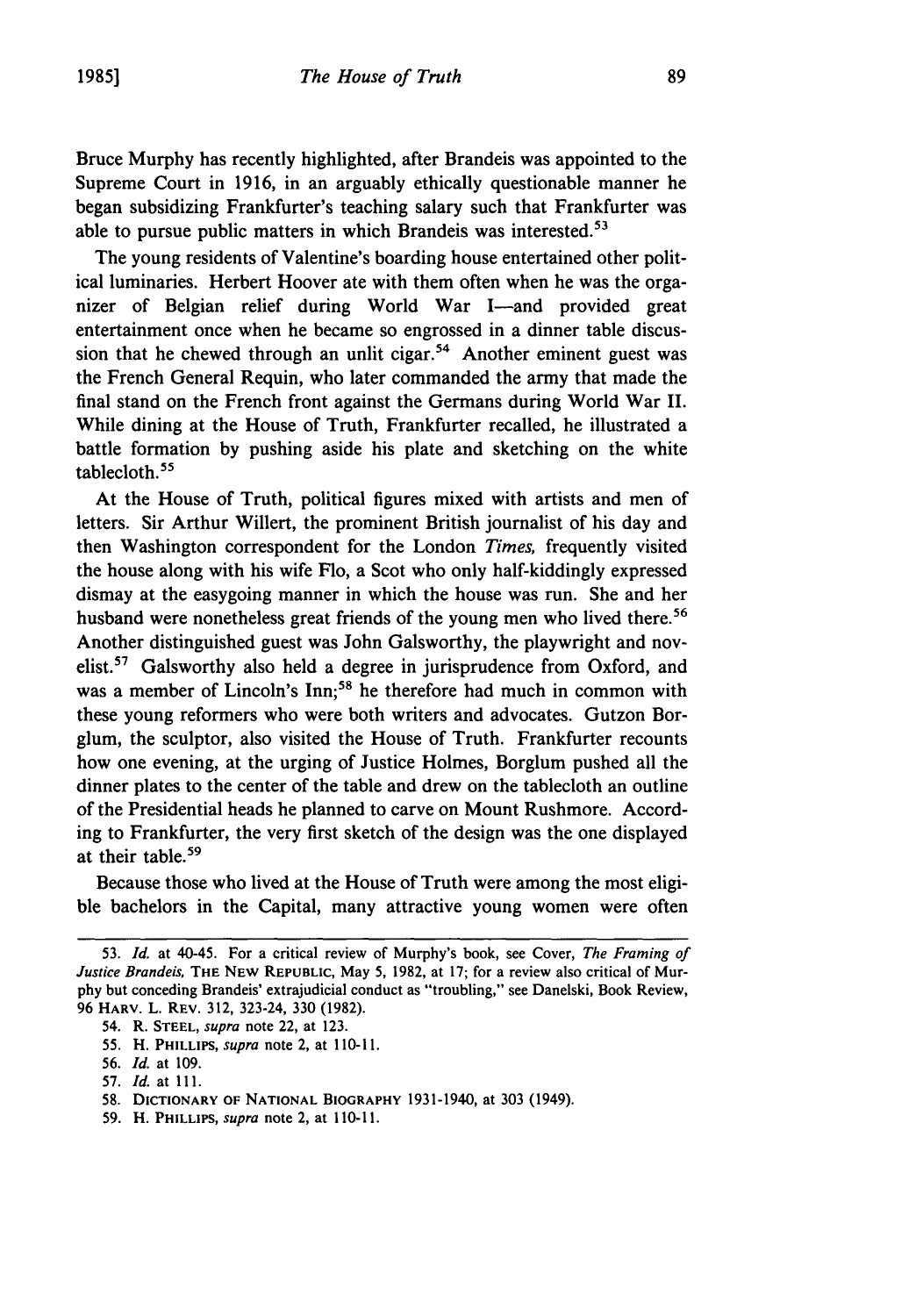Bruce Murphy has recently highlighted, after Brandeis was appointed to the Supreme Court in 1916, in an arguably ethically questionable manner he began subsidizing Frankfurter's teaching salary such that Frankfurter was able to pursue public matters in which Brandeis was interested.<sup>53</sup>

The young residents of Valentine's boarding house entertained other political luminaries. Herbert Hoover ate with them often when he was the organizer of Belgian relief during World War I-and provided great entertainment once when he became so engrossed in a dinner table discussion that he chewed through an unlit cigar.<sup>54</sup> Another eminent guest was the French General Requin, who later commanded the army that made the final stand on the French front against the Germans during World War II. While dining at the House of Truth, Frankfurter recalled, he illustrated a battle formation by pushing aside his plate and sketching on the white tablecloth. <sup>5</sup>

At the House of Truth, political figures mixed with artists and men of letters. Sir Arthur Willert, the prominent British journalist of his day and then Washington correspondent for the London *Times,* frequently visited the house along with his wife Flo, a Scot who only half-kiddingly expressed dismay at the easygoing manner in which the house was run. She and her husband were nonetheless great friends of the young men who lived there.<sup>56</sup> Another distinguished guest was John Galsworthy, the playwright and novelist.<sup>57</sup> Galsworthy also held a degree in jurisprudence from Oxford, and was a member of Lincoln's Inn;<sup>58</sup> he therefore had much in common with these young reformers who were both writers and advocates. Gutzon Borglum, the sculptor, also visited the House of Truth. Frankfurter recounts how one evening, at the urging of Justice Holmes, Borglum pushed all the dinner plates to the center of the table and drew on the tablecloth an outline of the Presidential heads he planned to carve on Mount Rushmore. According to Frankfurter, the very first sketch of the design was the one displayed at their table.<sup>59</sup>

Because those who lived at the House of Truth were among the most eligible bachelors in the Capital, many attractive young women were often

- 54. R. **STEEL,** *supra* note 22, at **123.**
- 55. H. **PHILLIPS,** *supra* note 2, at 110-11.
- 56. *Id.* at 109.
- 57. *Id.* at 111.
- **58.** DICTIONARY OF **NATIONAL BIOGRAPHY** 1931-1940, at **303** (1949).
- 59. H. PHILLIPS, *supra* note 2, at 110-11.

<sup>53.</sup> *Id.* at 40-45. For a critical review of Murphy's book, see Cover, The Framing of *Justice Brandeis,* **THE NEW REPUBLIC,** May 5, 1982, at **17;** for a review also critical of Murphy but conceding Brandeis' extrajudicial conduct as "troubling," see Danelski, Book Review, 96 HARV. L. REV. 312, 323-24, 330 (1982).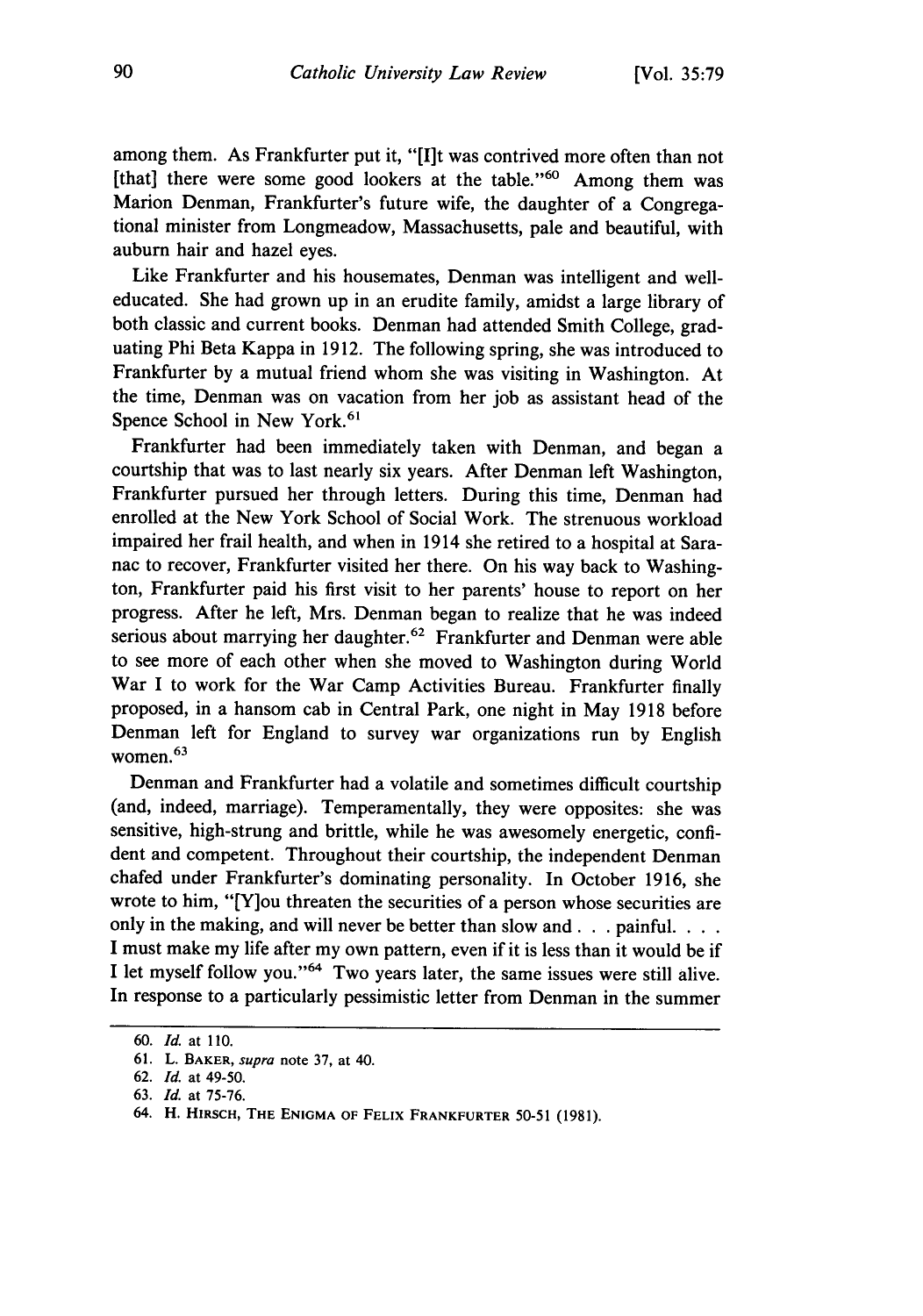among them. As Frankfurter put it, **"[I]t** was contrived more often than not [that] there were some good lookers at the table."<sup>60</sup> Among them was Marion Denman, Frankfurter's future wife, the daughter of a Congregational minister from Longmeadow, Massachusetts, pale and beautiful, with auburn hair and hazel eyes.

Like Frankfurter and his housemates, Denman was intelligent and welleducated. She had grown up in an erudite family, amidst a large library of both classic and current books. Denman had attended Smith College, graduating Phi Beta Kappa in 1912. The following spring, she was introduced to Frankfurter by a mutual friend whom she was visiting in Washington. At the time, Denman was on vacation from her job as assistant head of the Spence School in New York.<sup>61</sup>

Frankfurter had been immediately taken with Denman, and began a courtship that was to last nearly six years. After Denman left Washington, Frankfurter pursued her through letters. During this time, Denman had enrolled at the New York School of Social Work. The strenuous workload impaired her frail health, and when in 1914 she retired to a hospital at Saranac to recover, Frankfurter visited her there. On his way back to Washington, Frankfurter paid his first visit to her parents' house to report on her progress. After he left, Mrs. Denman began to realize that he was indeed serious about marrying her daughter.<sup>62</sup> Frankfurter and Denman were able to see more of each other when she moved to Washington during World War I to work for the War Camp Activities Bureau. Frankfurter finally proposed, in a hansom cab in Central Park, one night in May 1918 before Denman left for England to survey war organizations run by English women. 63

Denman and Frankfurter had a volatile and sometimes difficult courtship (and, indeed, marriage). Temperamentally, they were opposites: she was sensitive, high-strung and brittle, while he was awesomely energetic, confident and competent. Throughout their courtship, the independent Denman chafed under Frankfurter's dominating personality. In October 1916, she wrote to him, "[Y]ou threaten the securities of a person whose securities are only in the making, and will never be better than slow and. **. .** painful. **...** I must make my life after my own pattern, even if it is less than it would be if I let myself follow you."<sup>64</sup> Two years later, the same issues were still alive. In response to a particularly pessimistic letter from Denman in the summer

<sup>60.</sup> *Id.* at **10.**

**<sup>61.</sup>** L. BAKER, *supra* note **37,** at 40.

<sup>62.</sup> *Id.* at 49-50.

<sup>63.</sup> *Id.* at 75-76.

<sup>64.</sup> H. HIRSCH, **THE ENIGMA** OF FELIX FRANKFURTER 50-51 (1981).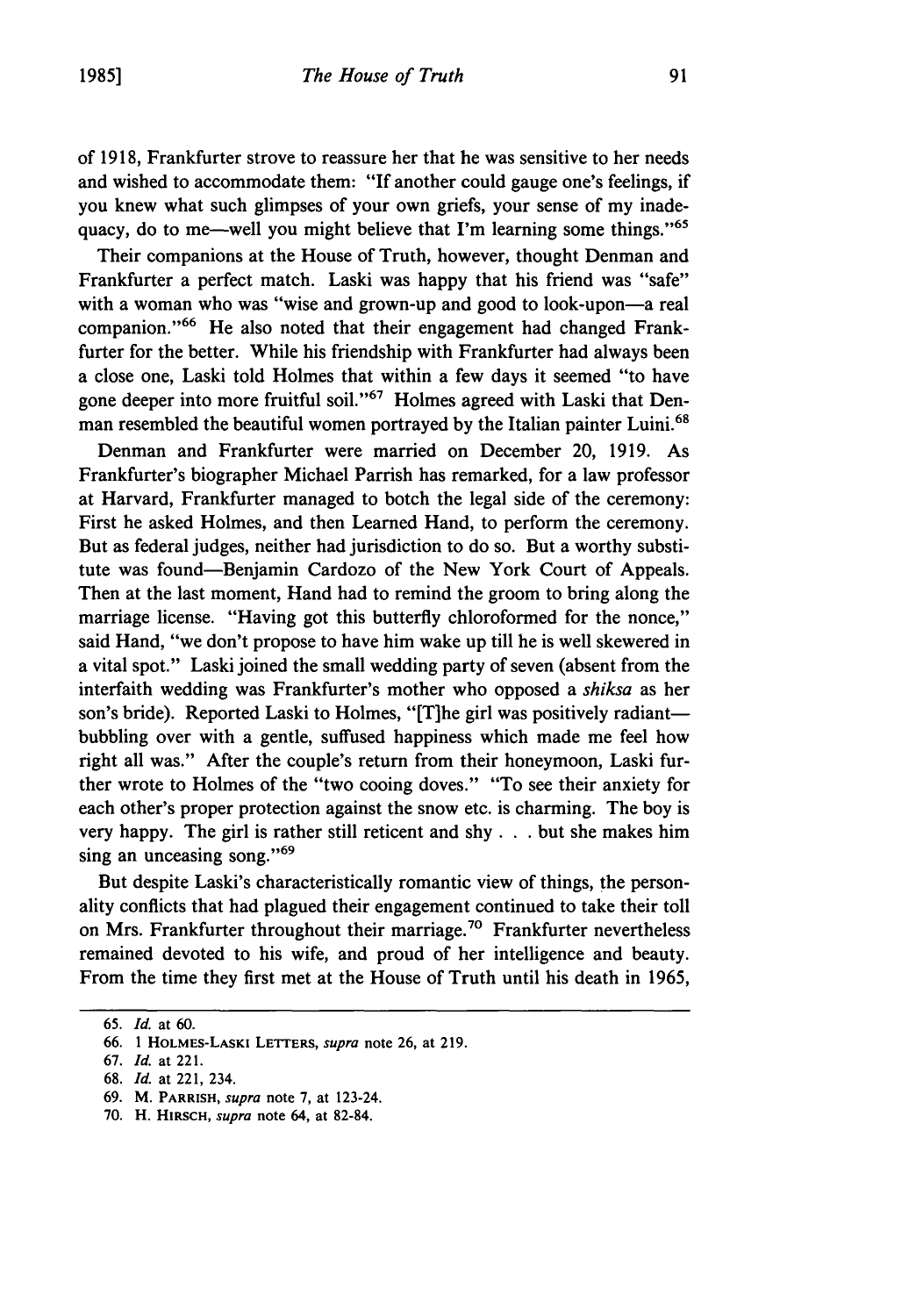**of 1918,** Frankfurter strove to reassure her that he was sensitive to her needs and wished to accommodate them: "If another could gauge one's feelings, if you knew what such glimpses of your own griefs, your sense of my inadequacy, do to me—well you might believe that I'm learning some things."<sup>65</sup>

Their companions at the House of Truth, however, thought Denman and Frankfurter a perfect match. Laski was happy that his friend was "safe" with a woman who was "wise and grown-up and good to look-upon-a real companion."<sup>66</sup> He also noted that their engagement had changed Frankfurter for the better. While his friendship with Frankfurter had always been a close one, Laski told Holmes that within a few days it seemed "to have gone deeper into more fruitful soil."<sup> $67$ </sup> Holmes agreed with Laski that Denman resembled the beautiful women portrayed by the Italian painter Luini.<sup>68</sup>

Denman and Frankfurter were married on December 20, 1919. As Frankfurter's biographer Michael Parrish has remarked, for a law professor at Harvard, Frankfurter managed to botch the legal side of the ceremony: First he asked Holmes, and then Learned Hand, to perform the ceremony. But as federal judges, neither had jurisdiction to do so. But a worthy substitute was found-Benjamin Cardozo of the New York Court of Appeals. Then at the last moment, Hand had to remind the groom to bring along the marriage license. "Having got this butterfly chloroformed for the nonce," said Hand, "we don't propose to have him wake up till he is well skewered in a vital spot." Laski joined the small wedding party of seven (absent from the interfaith wedding was Frankfurter's mother who opposed a *shiksa* as her son's bride). Reported Laski to Holmes, "[T]he girl was positively radiantbubbling over with a gentle, suffused happiness which made me feel how right all was." After the couple's return from their honeymoon, Laski further wrote to Holmes of the "two cooing doves." "To see their anxiety for each other's proper protection against the snow etc. is charming. The boy is very happy. The girl is rather still reticent and shy. **. .** but she makes him sing an unceasing song."<sup>69</sup>

But despite Laski's characteristically romantic view of things, the personality conflicts that had plagued their engagement continued to take their toll on Mrs. Frankfurter throughout their marriage.<sup>70</sup> Frankfurter nevertheless remained devoted to his wife, and proud of her intelligence and beauty. From the time they first met at the House of Truth until his death in 1965,

67. *Id.* at 221.

<sup>65.</sup> *Id.* at 60.

<sup>66. 1</sup> HOLMES-LASKI LETrERS, *supra* note 26, at 219.

<sup>68.</sup> *Id.* at 221, 234.

<sup>69.</sup> M. **PARRISH,** *supra* note 7, at 123-24.

<sup>70.</sup> H. HIRSCH, *supra* note 64, at 82-84.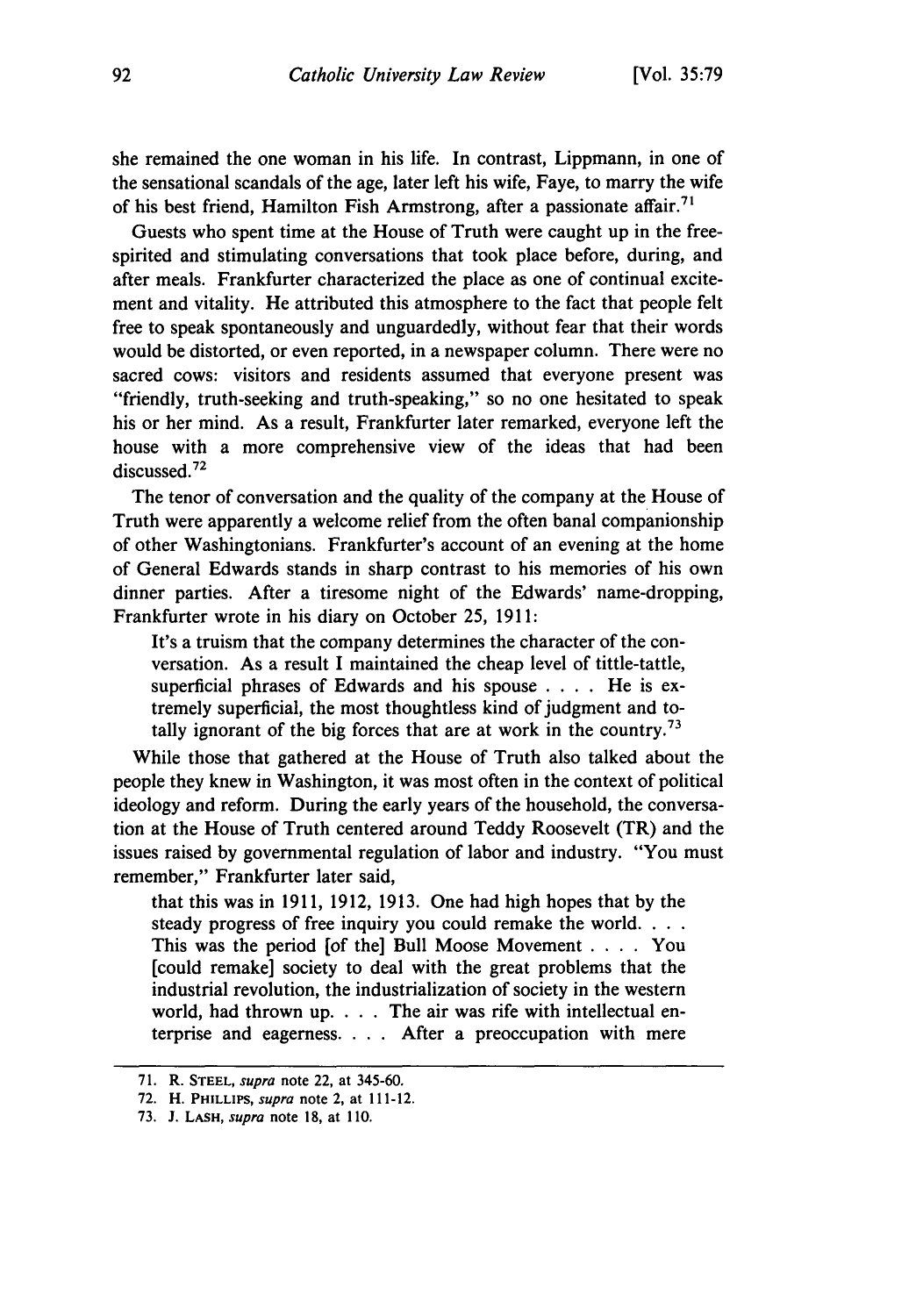she remained the one woman in his life. In contrast, Lippmann, in one of the sensational scandals of the age, later left his wife, Faye, to marry the wife of his best friend, Hamilton Fish Armstrong, after a passionate affair.<sup>71</sup>

Guests who spent time at the House of Truth were caught up in the freespirited and stimulating conversations that took place before, during, and after meals. Frankfurter characterized the place as one of continual excitement and vitality. He attributed this atmosphere to the fact that people felt free to speak spontaneously and unguardedly, without fear that their words would be distorted, or even reported, in a newspaper column. There were no sacred cows: visitors and residents assumed that everyone present was "friendly, truth-seeking and truth-speaking," so no one hesitated to speak his or her mind. As a result, Frankfurter later remarked, everyone left the house with a more comprehensive view of the ideas that had been discussed.72

The tenor of conversation and the quality of the company at the House of Truth were apparently a welcome relief from the often banal companionship of other Washingtonians. Frankfurter's account of an evening at the home of General Edwards stands in sharp contrast to his memories of his own dinner parties. After a tiresome night of the Edwards' name-dropping, Frankfurter wrote in his diary on October 25, 1911:

It's a truism that the company determines the character of the conversation. As a result I maintained the cheap level of tittle-tattle, superficial phrases of Edwards and his spouse . **.** . He is extremely superficial, the most thoughtless kind of judgment and totally ignorant of the big forces that are at work in the country.<sup>73</sup>

While those that gathered at the House of Truth also talked about the people they knew in Washington, it was most often in the context of political ideology and reform. During the early years of the household, the conversation at the House of Truth centered around Teddy Roosevelt (TR) and the issues raised by governmental regulation of labor and industry. "You must remember," Frankfurter later said,

that this was in 1911, 1912, 1913. One had high hopes that by the steady progress of free inquiry you could remake the world. **...** This was the period [of the] Bull Moose Movement . **. .** . You [could remake] society to deal with the great problems that the industrial revolution, the industrialization of society in the western world, had thrown **up.** . **..** The air was rife with intellectual enterprise and eagerness. . **.** . After a preoccupation with mere

<sup>71.</sup> R. **STEEL,** *supra* note 22, at 345-60.

**<sup>72.</sup>** H. PHILLIPS, *supra* note 2, at 111-12.

<sup>73.</sup> **J. LASH,** *supra* note 18, at **110.**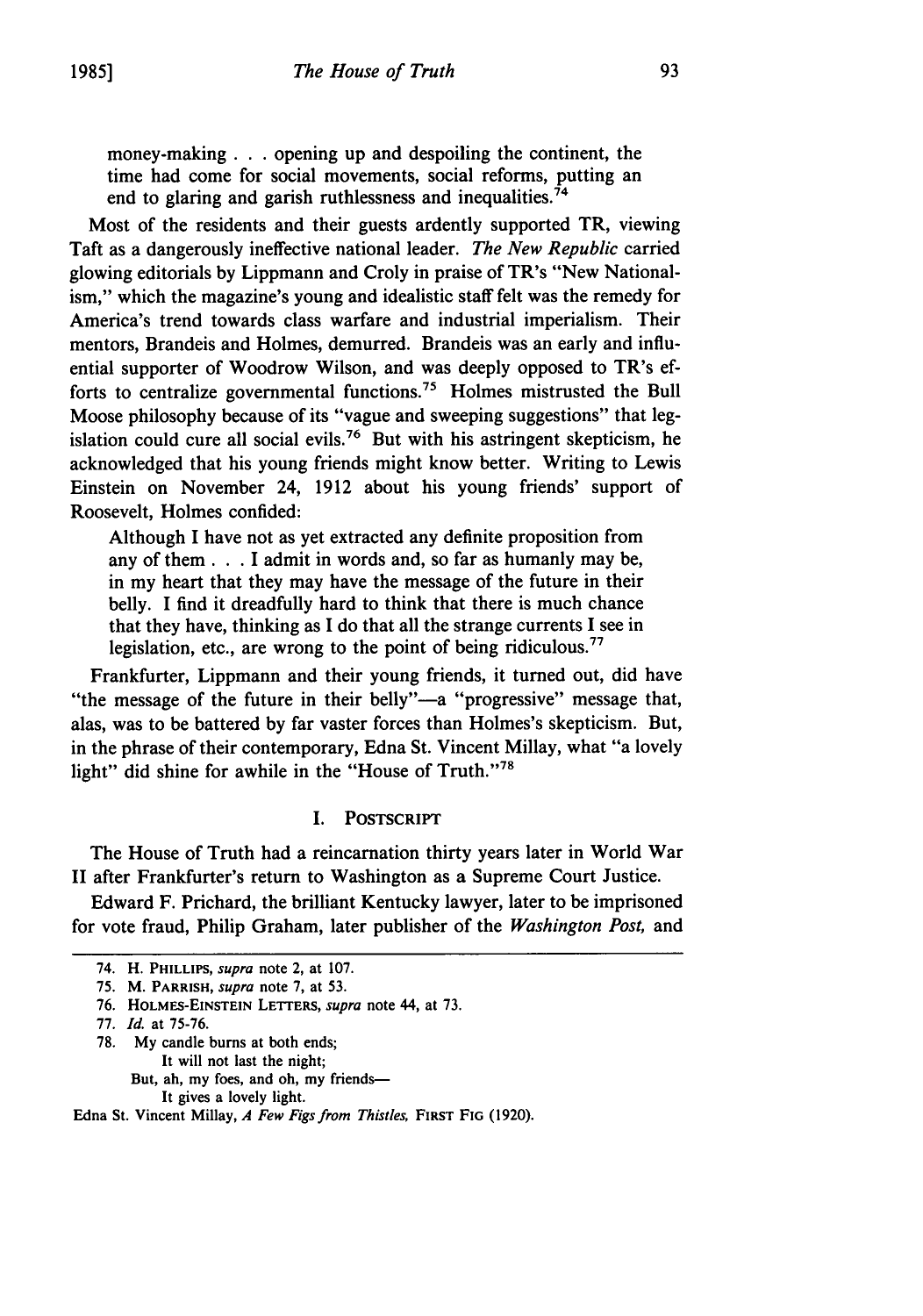money-making. **. .** opening up and despoiling the continent, the time had come for social movements, social reforms, putting an end to glaring and garish ruthlessness and inequalities.<sup>74</sup>

Most of the residents and their guests ardently supported TR, viewing Taft as a dangerously ineffective national leader. *The New Republic* carried glowing editorials **by** Lippmann and Croly in praise of TR's "New Nationalism," which the magazine's young and idealistic staff felt was the remedy for America's trend towards class warfare and industrial imperialism. Their mentors, Brandeis and Holmes, demurred. Brandeis was an early and influential supporter of Woodrow Wilson, and was deeply opposed to TR's efforts to centralize governmental functions.75 Holmes mistrusted the Bull Moose philosophy because of its "vague and sweeping suggestions" that legislation could cure all social evils.76 But with his astringent skepticism, he acknowledged that his young friends might know better. Writing to Lewis Einstein on November 24, **1912** about his young friends' support of Roosevelt, Holmes confided:

Although I have not as yet extracted any definite proposition from any of them. **. .**I admit in words and, so far as humanly may be, in my heart that they may have the message of the future in their belly. I find it dreadfully hard to think that there is much chance that they have, thinking as **I** do that all the strange currents I see in legislation, etc., are wrong to the point of being ridiculous.<sup>77</sup>

Frankfurter, Lippmann and their young friends, it turned out, did have "the message of the future in their belly"—a "progressive" message that, alas, was to be battered **by** far vaster forces than Holmes's skepticism. But, in the phrase of their contemporary, Edna St. Vincent Millay, what "a lovely light" did shine for awhile in the "House of Truth."78

### **I.** POSTSCRIPT

The House of Truth had a reincarnation thirty years later in World War II after Frankfurter's return to Washington as a Supreme Court Justice.

Edward F. Prichard, the brilliant Kentucky lawyer, later to be imprisoned for vote fraud, Philip Graham, later publisher of the *Washington Post,* and

- **77.** *Id.* at **75-76.**
- **78. My** candle **burns** at both ends; It will not last the night; But, ah, my foes, and oh, my friends-It gives a lovely light.

#### Edna St. Vincent Millay, *A Few Figs from Thistles,* **FIRST FIG (1920).**

<sup>74.</sup> H. PHILLIPS, *supra* note 2, at 107.

**<sup>75.</sup>** M. **PARRISH,** *supra* note **7,** at **53.**

**<sup>76.</sup> HOLMES-EINSTEIN LETTERS,** *supra* note 44, at **73.**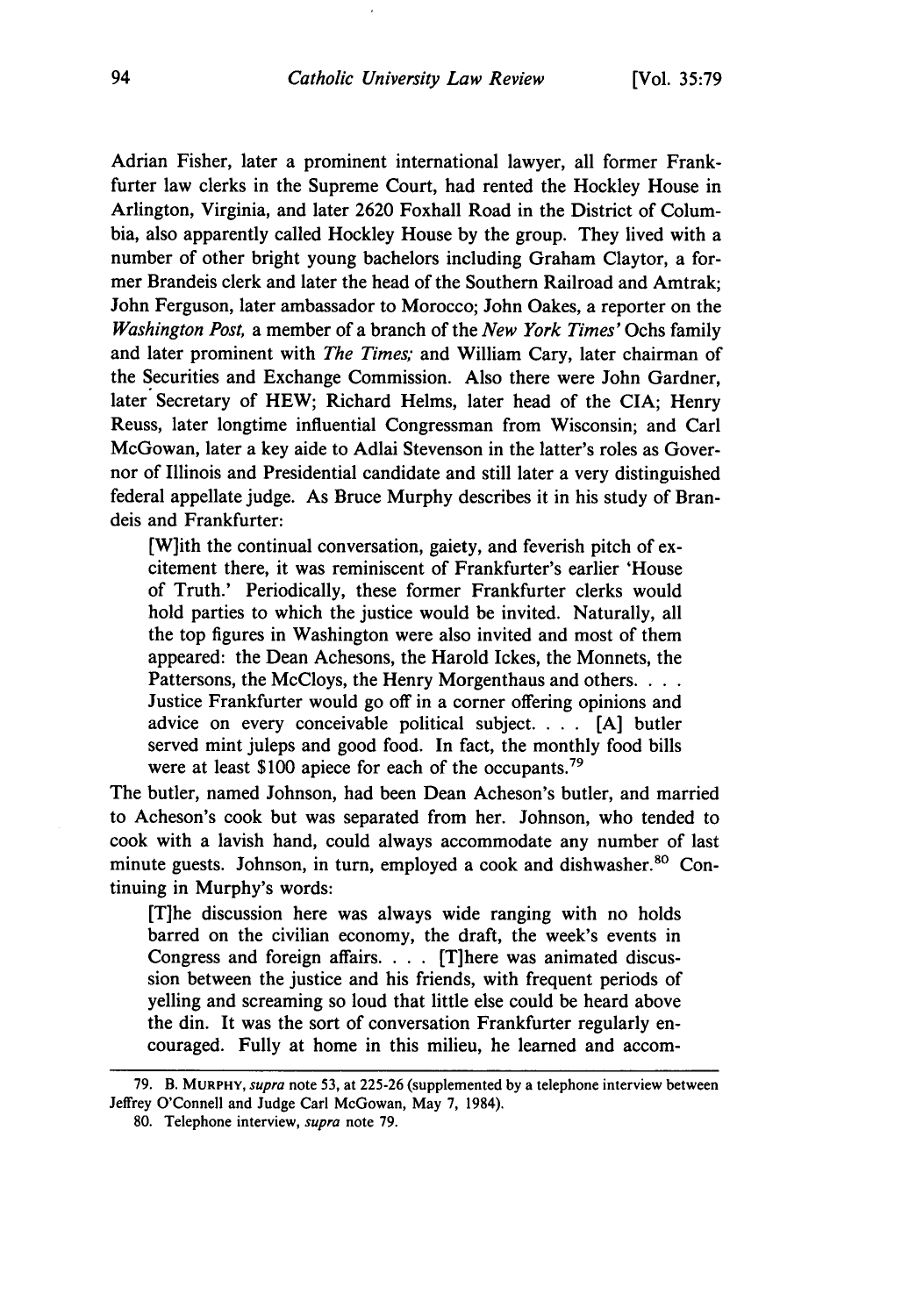Adrian Fisher, later a prominent international lawyer, all former Frankfurter law clerks in the Supreme Court, had rented the Hockley House in Arlington, Virginia, and later **2620** Foxhall Road in the District of Columbia, also apparently called Hockley House **by** the group. They lived with a number of other bright young bachelors including Graham Claytor, a former Brandeis clerk and later the head of the Southern Railroad and Amtrak; John Ferguson, later ambassador to Morocco; John Oakes, a reporter on the *Washington Post,* a member of a branch of the *New York Times'* Ochs family and later prominent with *The Times;* and William Cary, later chairman of the Securities and Exchange Commission. Also there were John Gardner, later Secretary of HEW; Richard Helms, later head of the CIA; Henry Reuss, later longtime influential Congressman from Wisconsin; and Carl McGowan, later a key aide to Adlai Stevenson in the latter's roles as Governor of Illinois and Presidential candidate and still later a very distinguished federal appellate judge. As Bruce Murphy describes it in his study of Brandeis and Frankfurter:

[W]ith the continual conversation, gaiety, and feverish pitch of excitement there, it was reminiscent of Frankfurter's earlier 'House of Truth.' Periodically, these former Frankfurter clerks would hold parties to which the justice would be invited. Naturally, all the top figures in Washington were also invited and most of them appeared: the Dean Achesons, the Harold Ickes, the Monnets, the Pattersons, the McCloys, the Henry Morgenthaus and others. . . . Justice Frankfurter would go off in a corner offering opinions and advice on every conceivable political subject. . **.** . **[A]** butler served mint juleps and good food. In fact, the monthly food bills were at least \$100 apiece for each of the occupants.<sup>79</sup>

The butler, named Johnson, had been Dean Acheson's butler, and married to Acheson's cook but was separated from her. Johnson, who tended to cook with a lavish hand, could always accommodate any number of last minute guests. Johnson, in turn, employed a cook and dishwasher.<sup>80</sup> Continuing in Murphy's words:

[T]he discussion here was always wide ranging with no holds barred on the civilian economy, the draft, the week's events in Congress and foreign affairs. . . . [T]here was animated discussion between the justice and his friends, with frequent periods of yelling and screaming so loud that little else could be heard above the din. It was the sort of conversation Frankfurter regularly encouraged. Fully at home in this milieu, he learned and accom-

**<sup>79.</sup>** B. **MURPHY,** *supra* note **53,** at **225-26** (supplemented **by** a telephone interview between Jeffrey O'Connell and Judge Carl McGowan, May **7,** 1984).

**<sup>80.</sup>** Telephone interview, *supra* note **79.**